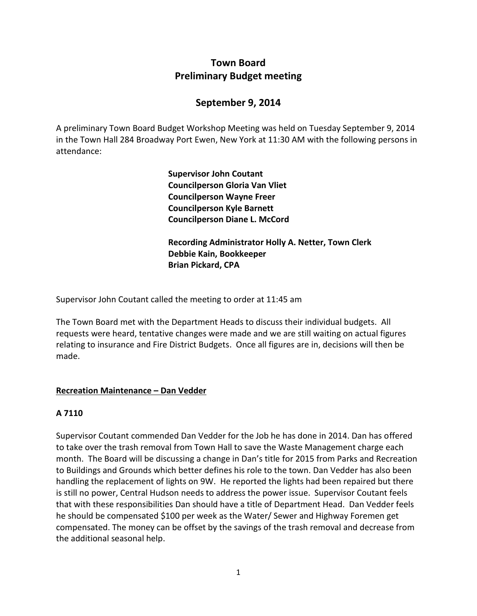# **Town Board Preliminary Budget meeting**

# **September 9, 2014**

A preliminary Town Board Budget Workshop Meeting was held on Tuesday September 9, 2014 in the Town Hall 284 Broadway Port Ewen, New York at 11:30 AM with the following persons in attendance:

> **Supervisor John Coutant Councilperson Gloria Van Vliet Councilperson Wayne Freer Councilperson Kyle Barnett Councilperson Diane L. McCord**

**Recording Administrator Holly A. Netter, Town Clerk Debbie Kain, Bookkeeper Brian Pickard, CPA**

Supervisor John Coutant called the meeting to order at 11:45 am

The Town Board met with the Department Heads to discuss their individual budgets. All requests were heard, tentative changes were made and we are still waiting on actual figures relating to insurance and Fire District Budgets. Once all figures are in, decisions will then be made.

#### **Recreation Maintenance – Dan Vedder**

## **A 7110**

Supervisor Coutant commended Dan Vedder for the Job he has done in 2014. Dan has offered to take over the trash removal from Town Hall to save the Waste Management charge each month. The Board will be discussing a change in Dan's title for 2015 from Parks and Recreation to Buildings and Grounds which better defines his role to the town. Dan Vedder has also been handling the replacement of lights on 9W. He reported the lights had been repaired but there is still no power, Central Hudson needs to address the power issue. Supervisor Coutant feels that with these responsibilities Dan should have a title of Department Head. Dan Vedder feels he should be compensated \$100 per week as the Water/ Sewer and Highway Foremen get compensated. The money can be offset by the savings of the trash removal and decrease from the additional seasonal help.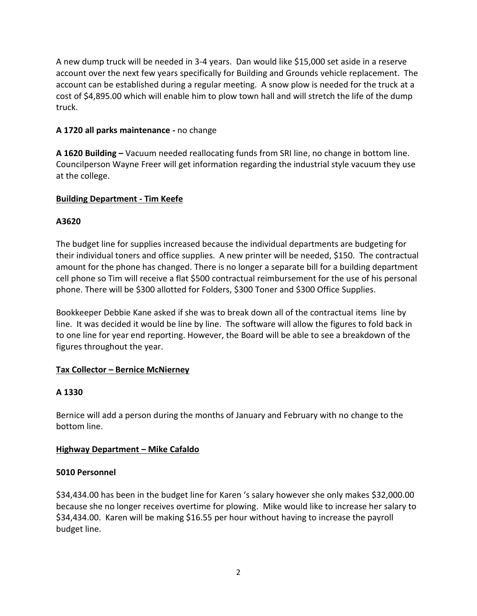A new dump truck will be needed in 3-4 years. Dan would like \$15,000 set aside in a reserve account over the next few years specifically for Building and Grounds vehicle replacement. The account can be established during a regular meeting. A snow plow is needed for the truck at a cost of \$4,895.00 which will enable him to plow town hall and will stretch the life of the dump truck.

#### **A 1720 all parks maintenance -** no change

**A 1620 Building –** Vacuum needed reallocating funds from SRI line, no change in bottom line. Councilperson Wayne Freer will get information regarding the industrial style vacuum they use at the college.

#### **Building Department - Tim Keefe**

#### **A3620**

The budget line for supplies increased because the individual departments are budgeting for their individual toners and office supplies. A new printer will be needed, \$150. The contractual amount for the phone has changed. There is no longer a separate bill for a building department cell phone so Tim will receive a flat \$500 contractual reimbursement for the use of his personal phone. There will be \$300 allotted for Folders, \$300 Toner and \$300 Office Supplies.

Bookkeeper Debbie Kane asked if she was to break down all of the contractual items line by line. It was decided it would be line by line. The software will allow the figures to fold back in to one line for year end reporting. However, the Board will be able to see a breakdown of the figures throughout the year.

## **Tax Collector – Bernice McNierney**

#### **A 1330**

Bernice will add a person during the months of January and February with no change to the bottom line.

#### **Highway Department – Mike Cafaldo**

#### **5010 Personnel**

\$34,434.00 has been in the budget line for Karen 's salary however she only makes \$32,000.00 because she no longer receives overtime for plowing. Mike would like to increase her salary to \$34,434.00. Karen will be making \$16.55 per hour without having to increase the payroll budget line.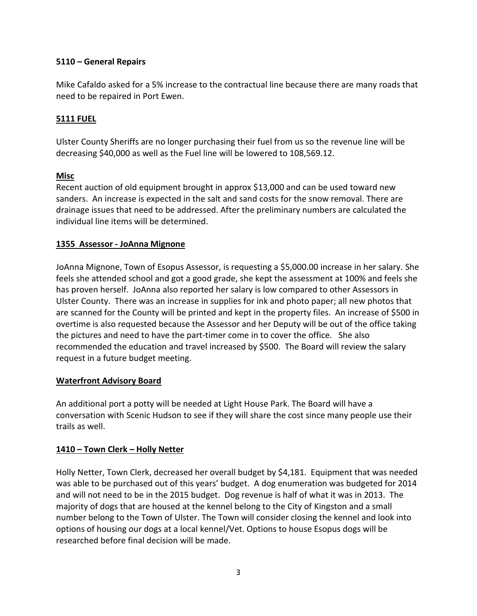### **5110 – General Repairs**

Mike Cafaldo asked for a 5% increase to the contractual line because there are many roads that need to be repaired in Port Ewen.

#### **5111 FUEL**

Ulster County Sheriffs are no longer purchasing their fuel from us so the revenue line will be decreasing \$40,000 as well as the Fuel line will be lowered to 108,569.12.

#### **Misc**

Recent auction of old equipment brought in approx \$13,000 and can be used toward new sanders. An increase is expected in the salt and sand costs for the snow removal. There are drainage issues that need to be addressed. After the preliminary numbers are calculated the individual line items will be determined.

#### **1355 Assessor - JoAnna Mignone**

JoAnna Mignone, Town of Esopus Assessor, is requesting a \$5,000.00 increase in her salary. She feels she attended school and got a good grade, she kept the assessment at 100% and feels she has proven herself. JoAnna also reported her salary is low compared to other Assessors in Ulster County. There was an increase in supplies for ink and photo paper; all new photos that are scanned for the County will be printed and kept in the property files. An increase of \$500 in overtime is also requested because the Assessor and her Deputy will be out of the office taking the pictures and need to have the part-timer come in to cover the office. She also recommended the education and travel increased by \$500. The Board will review the salary request in a future budget meeting.

#### **Waterfront Advisory Board**

An additional port a potty will be needed at Light House Park. The Board will have a conversation with Scenic Hudson to see if they will share the cost since many people use their trails as well.

#### **1410 – Town Clerk – Holly Netter**

Holly Netter, Town Clerk, decreased her overall budget by \$4,181. Equipment that was needed was able to be purchased out of this years' budget. A dog enumeration was budgeted for 2014 and will not need to be in the 2015 budget. Dog revenue is half of what it was in 2013. The majority of dogs that are housed at the kennel belong to the City of Kingston and a small number belong to the Town of Ulster. The Town will consider closing the kennel and look into options of housing our dogs at a local kennel/Vet. Options to house Esopus dogs will be researched before final decision will be made.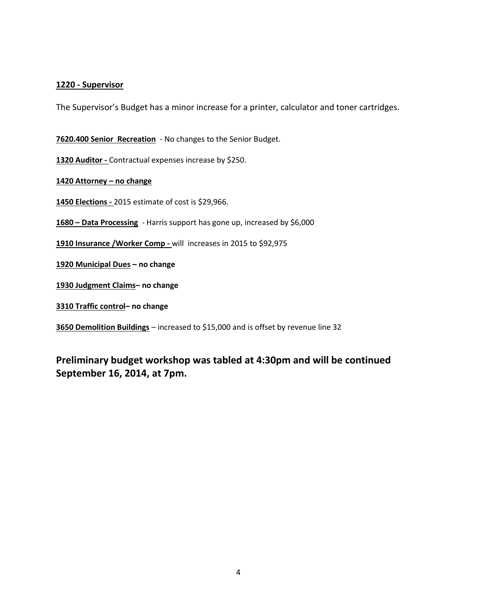#### **1220 - Supervisor**

The Supervisor's Budget has a minor increase for a printer, calculator and toner cartridges.

**7620.400 Senior Recreation** - No changes to the Senior Budget.

**1320 Auditor -** Contractual expenses increase by \$250.

**1420 Attorney – no change**

**1450 Elections -** 2015 estimate of cost is \$29,966.

**1680 – Data Processing** - Harris support has gone up, increased by \$6,000

**1910 Insurance /Worker Comp -** will increases in 2015 to \$92,975

**1920 Municipal Dues – no change**

**1930 Judgment Claims– no change**

**3310 Traffic control– no change**

**3650 Demolition Buildings** – increased to \$15,000 and is offset by revenue line 32

**Preliminary budget workshop was tabled at 4:30pm and will be continued September 16, 2014, at 7pm.**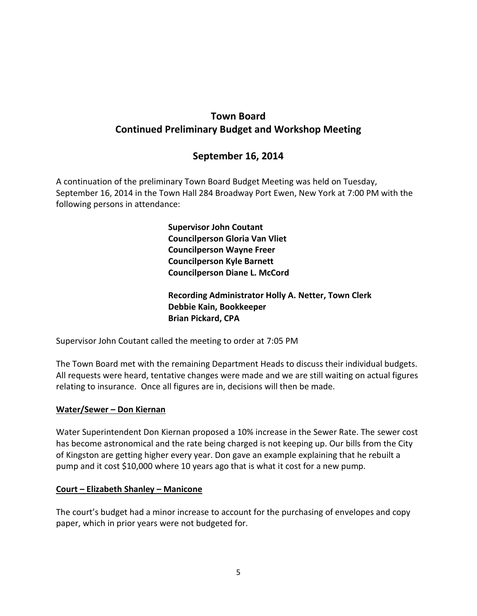# **Town Board Continued Preliminary Budget and Workshop Meeting**

# **September 16, 2014**

A continuation of the preliminary Town Board Budget Meeting was held on Tuesday, September 16, 2014 in the Town Hall 284 Broadway Port Ewen, New York at 7:00 PM with the following persons in attendance:

> **Supervisor John Coutant Councilperson Gloria Van Vliet Councilperson Wayne Freer Councilperson Kyle Barnett Councilperson Diane L. McCord**

**Recording Administrator Holly A. Netter, Town Clerk Debbie Kain, Bookkeeper Brian Pickard, CPA**

Supervisor John Coutant called the meeting to order at 7:05 PM

The Town Board met with the remaining Department Heads to discuss their individual budgets. All requests were heard, tentative changes were made and we are still waiting on actual figures relating to insurance. Once all figures are in, decisions will then be made.

#### **Water/Sewer – Don Kiernan**

Water Superintendent Don Kiernan proposed a 10% increase in the Sewer Rate. The sewer cost has become astronomical and the rate being charged is not keeping up. Our bills from the City of Kingston are getting higher every year. Don gave an example explaining that he rebuilt a pump and it cost \$10,000 where 10 years ago that is what it cost for a new pump.

#### **Court – Elizabeth Shanley – Manicone**

The court's budget had a minor increase to account for the purchasing of envelopes and copy paper, which in prior years were not budgeted for.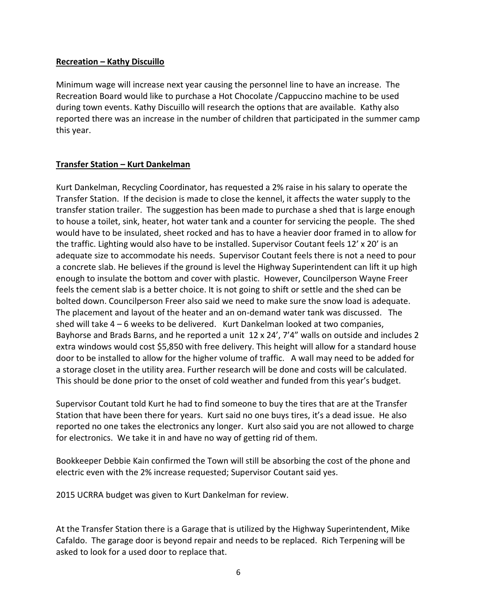#### **Recreation – Kathy Discuillo**

Minimum wage will increase next year causing the personnel line to have an increase. The Recreation Board would like to purchase a Hot Chocolate /Cappuccino machine to be used during town events. Kathy Discuillo will research the options that are available. Kathy also reported there was an increase in the number of children that participated in the summer camp this year.

#### **Transfer Station – Kurt Dankelman**

Kurt Dankelman, Recycling Coordinator, has requested a 2% raise in his salary to operate the Transfer Station. If the decision is made to close the kennel, it affects the water supply to the transfer station trailer. The suggestion has been made to purchase a shed that is large enough to house a toilet, sink, heater, hot water tank and a counter for servicing the people. The shed would have to be insulated, sheet rocked and has to have a heavier door framed in to allow for the traffic. Lighting would also have to be installed. Supervisor Coutant feels 12' x 20' is an adequate size to accommodate his needs. Supervisor Coutant feels there is not a need to pour a concrete slab. He believes if the ground is level the Highway Superintendent can lift it up high enough to insulate the bottom and cover with plastic. However, Councilperson Wayne Freer feels the cement slab is a better choice. It is not going to shift or settle and the shed can be bolted down. Councilperson Freer also said we need to make sure the snow load is adequate. The placement and layout of the heater and an on-demand water tank was discussed. The shed will take  $4 - 6$  weeks to be delivered. Kurt Dankelman looked at two companies, Bayhorse and Brads Barns, and he reported a unit 12 x 24', 7'4" walls on outside and includes 2 extra windows would cost \$5,850 with free delivery. This height will allow for a standard house door to be installed to allow for the higher volume of traffic. A wall may need to be added for a storage closet in the utility area. Further research will be done and costs will be calculated. This should be done prior to the onset of cold weather and funded from this year's budget.

Supervisor Coutant told Kurt he had to find someone to buy the tires that are at the Transfer Station that have been there for years. Kurt said no one buys tires, it's a dead issue. He also reported no one takes the electronics any longer. Kurt also said you are not allowed to charge for electronics. We take it in and have no way of getting rid of them.

Bookkeeper Debbie Kain confirmed the Town will still be absorbing the cost of the phone and electric even with the 2% increase requested; Supervisor Coutant said yes.

2015 UCRRA budget was given to Kurt Dankelman for review.

At the Transfer Station there is a Garage that is utilized by the Highway Superintendent, Mike Cafaldo. The garage door is beyond repair and needs to be replaced. Rich Terpening will be asked to look for a used door to replace that.